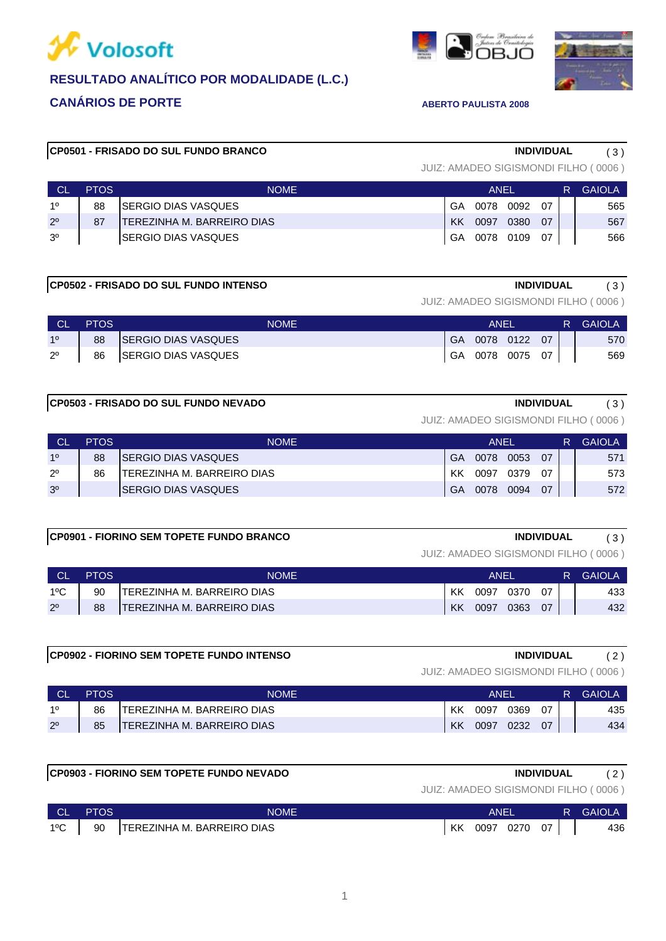



# **CP0501 - FRISADO DO SUL FUNDO BRANCO INDIVIDUAL** ( 3 )

JUIZ: AMADEO SIGISMONDI FILHO ( 0006 )

 $\overline{OB}$ 

| <b>CL</b>      | <b>PTOS</b> | <b>NOME</b>                 |    | ANEI | R         | <b>GAIOLA</b> |  |     |
|----------------|-------------|-----------------------------|----|------|-----------|---------------|--|-----|
| 10             | 88          | SERGIO DIAS VASQUES         | GA | 0078 | 0092      | በ7            |  | 565 |
| $2^{\circ}$    | 87          | ITEREZINHA M. BARREIRO DIAS | KK | 0097 | 0380      | 07            |  | 567 |
| 3 <sup>o</sup> |             | <b>ISERGIO DIAS VASQUES</b> | GA |      | 0078 0109 | 07            |  | 566 |

# **CP0502 - FRISADO DO SUL FUNDO INTENSO INDIVIDUAL** ( 3 )

JUIZ: AMADEO SIGISMONDI FILHO ( 0006 )

| <b>CL</b>   | <b>PTOS</b> | NOME                       | ANEI      |           |           |    | R. | <b>GAIOLA</b> |
|-------------|-------------|----------------------------|-----------|-----------|-----------|----|----|---------------|
| 10          | 88          | <b>SERGIO DIAS VASQUES</b> | GA        | 0078 0122 |           | 07 |    | 570           |
| $2^{\circ}$ | 86          | SERGIO DIAS VASQUES        | <b>GA</b> |           | 0078 0075 | 07 |    | 569           |

### **CP0503 - FRISADO DO SUL FUNDO NEVADO INDIVIDUAL** ( 3 )

JUIZ: AMADEO SIGISMONDI FILHO ( 0006 )

| <b>CL</b>      | <b>PTOS</b> | <b>NOME</b>                |    | ANEL |      |    |  | GAIOLA |
|----------------|-------------|----------------------------|----|------|------|----|--|--------|
| 10             | 88          | ISERGIO DIAS VASQUES       | GA | 0078 | 0053 | 07 |  | 571    |
| $2^{\circ}$    | 86          | TEREZINHA M. BARREIRO DIAS | КK | 0097 | 0379 | 07 |  | 573    |
| 3 <sup>o</sup> |             | ISERGIO DIAS VASQUES       | GA | 0078 | 0094 | 07 |  | 572    |

### **CP0901 - FIORINO SEM TOPETE FUNDO BRANCO INDIVIDUAL** ( 3 )

JUIZ: AMADEO SIGISMONDI FILHO ( 0006 )

|               | <b>PTOS</b> | <b>NOME</b>                       | ANEI |      |      |    | <b>GAIOLA</b> |
|---------------|-------------|-----------------------------------|------|------|------|----|---------------|
| $1^{\circ}$ C | 90          | ITEREZINHA M. BARREIRO DIAS       | KK   | 0097 | 0370 | 07 | 433           |
| $2^{\circ}$   | 88          | <b>TEREZINHA M. BARREIRO DIAS</b> | KK   | 0097 | 0363 | 07 | 432           |

### **CP0902 - FIORINO SEM TOPETE FUNDO INTENSO INDIVIDUAL** ( 2 )

|             | PTOS | NOME                        | ANEI |      |      |    | R. | <b>GAIOLA</b> |
|-------------|------|-----------------------------|------|------|------|----|----|---------------|
| -10         | 86   | ITEREZINHA M. BARREIRO DIAS | KK   | 0097 | 0369 | 07 |    | 435           |
| $2^{\circ}$ | 85   | TEREZINHA M. BARREIRO DIAS  | KK   | 0097 | 0232 | 07 |    | 434           |

| <b>CP0903 - FIORINO SEM TOPETE FUNDO NEVADO</b> |             |                             |    |      | <b>INDIVIDUAL</b> |    |    |                                      |
|-------------------------------------------------|-------------|-----------------------------|----|------|-------------------|----|----|--------------------------------------|
|                                                 |             |                             |    |      |                   |    |    | JUIZ: AMADEO SIGISMONDI FILHO (0006) |
| <b>CL</b>                                       | <b>PTOS</b> | <b>NOME</b>                 |    | ANEL |                   |    | R. | <b>GAIOLA</b>                        |
| $1^{\circ}$ C                                   | 90          | ITEREZINHA M. BARREIRO DIAS | КK | 0097 | 0270              | 07 |    | 436                                  |

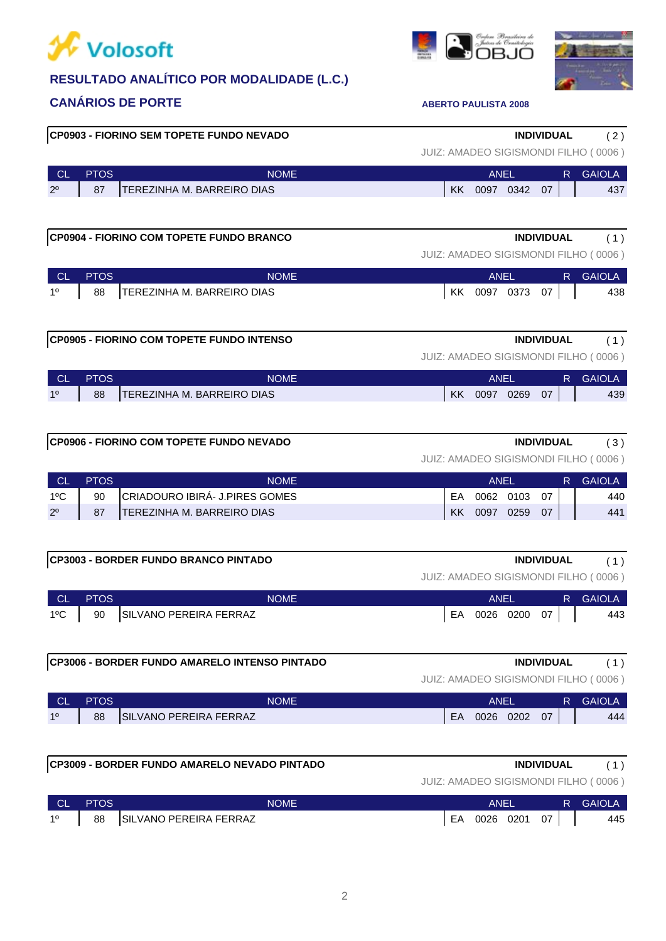



|        |             | <b>CP0903 - FIORINO SEM TOPETE FUNDO NEVADO</b> |                                      | INDIVIDUAL             | (2)           |
|--------|-------------|-------------------------------------------------|--------------------------------------|------------------------|---------------|
|        |             |                                                 | JUIZ: AMADEO SIGISMONDI FILHO (0006) |                        |               |
| $\cap$ | <b>PTOS</b> | <b>NOME</b>                                     |                                      | $\triangle$ NIEI<br>R. | <b>GAIOLA</b> |

| <b>CL</b>      | <b>PTOS</b> | <b>NOME</b>                |    | <b>ANEI</b> |      |    | <b>GAIOLA</b> |
|----------------|-------------|----------------------------|----|-------------|------|----|---------------|
| 2 <sup>0</sup> | 07<br>01    | TEREZINHA M. BARREIRO DIAS | KK | 0097        | 0342 | 07 | 437           |

# **CP0904 - FIORINO COM TOPETE FUNDO BRANCO INDIVIDUAL** ( 1 )

JUIZ: AMADEO SIGISMONDI FILHO ( 0006 )

| <b>CL</b> | <b>PTOS</b> | NOME                       | ANEI |      |      | R. | <b>GAIOLA</b> |     |
|-----------|-------------|----------------------------|------|------|------|----|---------------|-----|
| 10        | 88          | TEREZINHA M. BARREIRO DIAS | KK   | 0097 | 0373 | 07 |               | 438 |

| <b>CP0905 - FIORINO COM TOPETE FUNDO INTENSO</b> | <b>INDIVIDUAL</b>                                                                                                                                                                                                                                                                                                                                                                        |  |
|--------------------------------------------------|------------------------------------------------------------------------------------------------------------------------------------------------------------------------------------------------------------------------------------------------------------------------------------------------------------------------------------------------------------------------------------------|--|
|                                                  | $\begin{array}{c} \n\text{ii} & \n\begin{bmatrix}\n1 & 1 \\ 1 & 1\n\end{bmatrix} \\ \text{iii} & \n\begin{bmatrix}\n1 & 1 \\ 1 & 1\n\end{bmatrix} \\ \text{iv} & \n\begin{bmatrix}\n1 & 1 \\ 1 & 1\n\end{bmatrix} \\ \text{iv} & \n\begin{bmatrix}\n1 & 1 \\ 1 & 1\n\end{bmatrix} \\ \text{iv} & \n\begin{bmatrix}\n1 & 1 \\ 1 & 1\n\end{bmatrix} \\ \text{iv} & \n\begin{bmatrix}\n1 &$ |  |

JUIZ: AMADEO SIGISMONDI FILHO ( 0006 )

| <b>CL</b> | <b>PTOS</b>                        | <b>NOME</b> |    | ANEL |      |    |  | <b>GAIOLA</b> |
|-----------|------------------------------------|-------------|----|------|------|----|--|---------------|
| 88<br>10  | <b>ITEREZINHA M. BARREIRO DIAS</b> |             | KK | 0097 | 0269 | 07 |  | 439           |

| CP0906 - FIORINO COM TOPETE FUNDO NEVADO<br><b>INDIVIDUAL</b> |  |
|---------------------------------------------------------------|--|
|---------------------------------------------------------------|--|

| JUIZ: AMADEO SIGISMONDI FILHO (0006) |  |  |
|--------------------------------------|--|--|

| <b>CL</b>     | <b>PTOS</b> | NOME                           | ANEI |      |      |    | R. | <b>GAIOLA</b> |
|---------------|-------------|--------------------------------|------|------|------|----|----|---------------|
| $1^{\circ}$ C | 90          | CRIADOURO IBIRA- J.PIRES GOMES | FΑ   | 0062 | 0103 | 07 |    | 440           |
| $2^{\circ}$   | 87          | ITEREZINHA M. BARREIRO DIAS    | KK   | 0097 | 0259 | 07 |    | 441           |

### **CP3003 - BORDER FUNDO BRANCO PINTADO INDIVIDUAL** ( 1 )

JUIZ: AMADEO SIGISMONDI FILHO ( 0006 )

| <b>CLA</b>    | <b>PTOS</b> | <b>NOME</b>               | ANEI            |  | <b>R</b> GAIOLA |
|---------------|-------------|---------------------------|-----------------|--|-----------------|
| $1^{\circ}$ C |             | 90 SILVANO PEREIRA FERRAZ | EA 0026 0200 07 |  | 443             |

# **CP3006 - BORDER FUNDO AMARELO INTENSO PINTADO INDIVIDUAL** ( 1 )

| <b>CL</b> | PTOS | NOME                           |    | <b>ANE</b> |      |    | GAIOLA |
|-----------|------|--------------------------------|----|------------|------|----|--------|
| 10        | 88   | <b>ISILVANO PEREIRA FERRAZ</b> | EA | 0026       | 0202 | 07 | 444    |

| <b>ICP3009 - BORDER FUNDO AMARELO NEVADO PINTADO</b><br><b>INDIVIDUAL</b> |             |                                |  |    |           |    |    |                                      |
|---------------------------------------------------------------------------|-------------|--------------------------------|--|----|-----------|----|----|--------------------------------------|
|                                                                           |             |                                |  |    |           |    |    | JUIZ: AMADEO SIGISMONDI FILHO (0006) |
| <b>CL</b>                                                                 | <b>PTOS</b> | <b>NOME</b>                    |  |    | ANFI      |    | R. | GAIOLA                               |
| 10                                                                        | 88          | <b>ISILVANO PEREIRA FERRAZ</b> |  | FΑ | 0026 0201 | 07 |    | 445                                  |

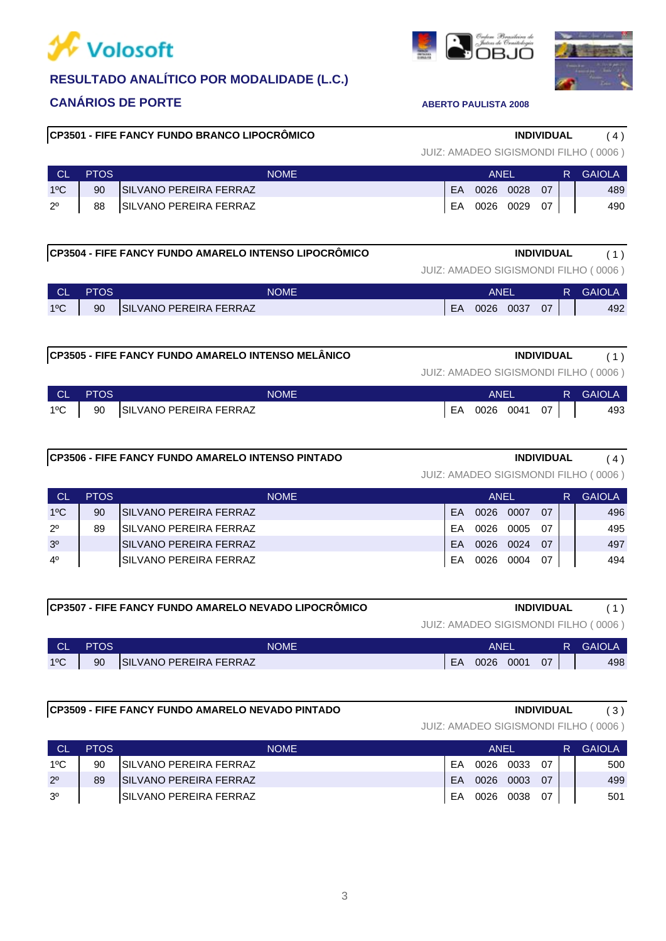



# **CP3501 - FIFE FANCY FUNDO BRANCO LIPOCRÔMICO INDIVIDUAL** ( 4 )

# CL PTOS ANEL R GAIOLA

|               |    | . <u>.</u>                    |    | , , , , <u>, ,</u> |    | $\mathbf{v}$ $\mathbf{v}$ $\mathbf{v}$ |
|---------------|----|-------------------------------|----|--------------------|----|----------------------------------------|
| $1^{\circ}$ C | 90 | <b>SILVANO PEREIRA FERRAZ</b> | EA | 0026 0028          | 07 | 489                                    |
| $2^{\circ}$   | 88 | SILVANO PEREIRA FERRAZ        | EA | 0026 0029          | 07 | 490                                    |

# **CP3504 - FIFE FANCY FUNDO AMARELO INTENSO LIPOCRÔMICO INDIVIDUAL** ( 1 )

JUIZ: AMADEO SIGISMONDI FILHO ( 0006 )

JUIZ: AMADEO SIGISMONDI FILHO ( 0006 )

Jutan de Craix<br>**OB.** I

| ∟ CL'<br><b>PTOS</b> | NOME                   |    | ANEI |      |    | R | <b>GAIOLA</b> |
|----------------------|------------------------|----|------|------|----|---|---------------|
| $1^{\circ}$ C<br>90  | SILVANO PEREIRA FERRAZ | EA | 0026 | 0037 | 07 |   | 492           |

### **CP3505 - FIFE FANCY FUNDO AMARELO INTENSO MELÂNICO INDIVIDUAL** ( 1 )

JUIZ: AMADEO SIGISMONDI FILHO ( 0006 )

| CL  | <b>PTOS</b> | <b>NOME</b>               | <b>ANF</b>   |    | <b>R</b> GAIOLA |
|-----|-------------|---------------------------|--------------|----|-----------------|
| 1ºC |             | 90 SILVANO PEREIRA FERRAZ | EA 0026 0041 | 07 | 493             |

### **CP3506 - FIFE FANCY FUNDO AMARELO INTENSO PINTADO INDIVIDUAL** ( 4 )

### JUIZ: AMADEO SIGISMONDI FILHO ( 0006 )

| <b>CL</b>      | <b>PTOS</b> | <b>NOME</b>             |    | ANEL |      |     | R. | <b>GAIOLA</b> |
|----------------|-------------|-------------------------|----|------|------|-----|----|---------------|
| $1^{\circ}$ C  | 90          | ISILVANO PEREIRA FERRAZ | FA | 0026 | 0007 | 07  |    | 496           |
| $2^{\circ}$    | 89          | ISILVANO PEREIRA FERRAZ | FA | 0026 | 0005 | -07 |    | 495           |
| 3 <sup>o</sup> |             | ISILVANO PEREIRA FERRAZ | FA | 0026 | 0024 | -07 |    | 497           |
| 4 <sup>0</sup> |             | ISILVANO PEREIRA FERRAZ | FA | 0026 | 0004 | 07  |    | 494           |

|               |             | CP3507 - FIFE FANCY FUNDO AMARELO NEVADO LIPOCRÔMICO |           |           | <b>INDIVIDUAL</b> |    |                                      |
|---------------|-------------|------------------------------------------------------|-----------|-----------|-------------------|----|--------------------------------------|
|               |             |                                                      |           |           |                   |    | JUIZ: AMADEO SIGISMONDI FILHO (0006) |
| <b>CL</b>     | <b>PTOS</b> | <b>NOME</b>                                          |           | ANFI      |                   | R. | GAIOLA                               |
| $1^{\circ}$ C | 90          | SILVANO PEREIRA FERRAZ                               | <b>FA</b> | 0026 0001 | 07                |    | 498                                  |

## **CP3509 - FIFE FANCY FUNDO AMARELO NEVADO PINTADO INDIVIDUAL** ( 3 )

|                | <b>PTOS</b> | <b>NOME</b>                    | ANEI |      |      |    |  | <b>GAIOLA</b> |
|----------------|-------------|--------------------------------|------|------|------|----|--|---------------|
| $1^{\circ}$ C  | 90          | <b>ISILVANO PEREIRA FERRAZ</b> | FΑ   | 0026 | 0033 | 07 |  | 500           |
| $2^{\circ}$    | 89          | ISILVANO PEREIRA FERRAZ        | FA   | 0026 | 0003 | 07 |  | 499           |
| 3 <sup>o</sup> |             | ISILVANO PEREIRA FERRAZ        | FΑ   | 0026 | 0038 | 07 |  | 501           |

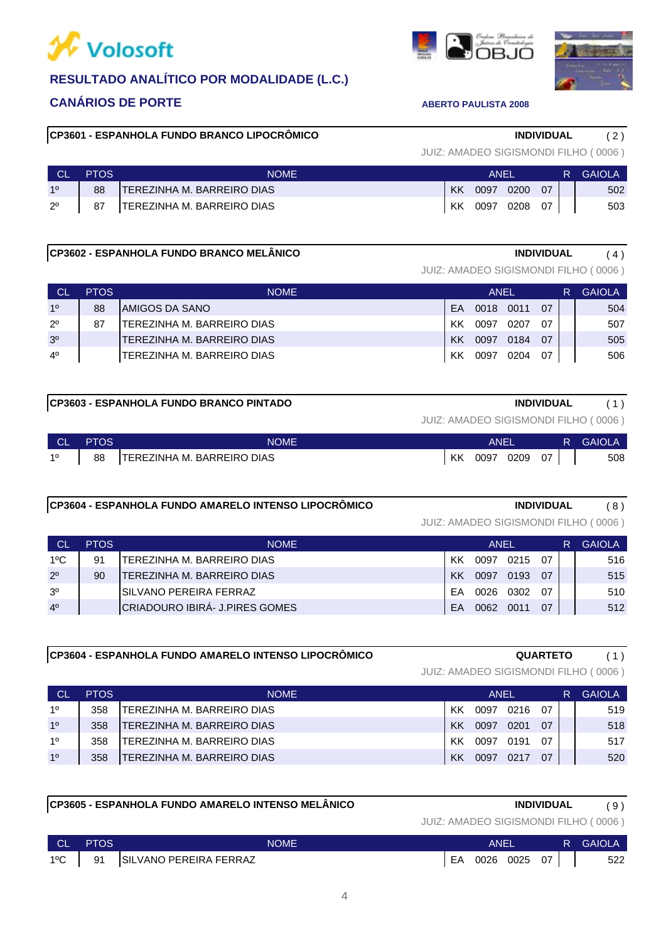



## **CP3601 - ESPANHOLA FUNDO BRANCO LIPOCRÔMICO INDIVIDUAL** ( 2 )

| JUIZ: AMADEO SIGISMONDI FILHO (0006) |  |  |
|--------------------------------------|--|--|
|--------------------------------------|--|--|

|             | PTOS | <b>NOME</b>                       |    | <b>ANFI</b> |      |    | R. | <b>GAIOLA</b> |
|-------------|------|-----------------------------------|----|-------------|------|----|----|---------------|
| 10          | 88   | ITEREZINHA M. BARREIRO DIAS       | KK | 0097        | 0200 | 07 |    | 502           |
| $2^{\circ}$ | 87   | <b>TEREZINHA M. BARREIRO DIAS</b> | KK | 0097        | 0208 | 07 |    | 503           |

# **CP3602 - ESPANHOLA FUNDO BRANCO MELÂNICO INDIVIDUAL** ( 4 )

JUIZ: AMADEO SIGISMONDI FILHO ( 0006 )

| <b>CL</b>      | <b>PTOS</b> | <b>NOME</b>                       |           | ANEL |      |    | R | <b>GAIOLA</b> |
|----------------|-------------|-----------------------------------|-----------|------|------|----|---|---------------|
| 10             | 88          | <b>IAMIGOS DA SANO</b>            | EA        | 0018 | 0011 | 07 |   | 504           |
| $2^{\circ}$    | 87          | TEREZINHA M. BARREIRO DIAS        | KK        | 0097 | 0207 | 07 |   | 507           |
| 3 <sup>o</sup> |             | <b>TEREZINHA M. BARREIRO DIAS</b> | <b>KK</b> | 0097 | 0184 | 07 |   | 505           |
| $4^{\circ}$    |             | ITEREZINHA M. BARREIRO DIAS       | KK        | 0097 | 0204 | 07 |   | 506           |
|                |             |                                   |           |      |      |    |   |               |

# **CP3603 - ESPANHOLA FUNDO BRANCO PINTADO INDIVIDUAL** ( 1 )

JUIZ: AMADEO SIGISMONDI FILHO ( 0006 )

| <b>CL</b> | <b>PTOS</b> | <b>NOME</b>                 |    | ANEI |      |    | R | <b>GAIOLA</b> |
|-----------|-------------|-----------------------------|----|------|------|----|---|---------------|
| 10        | 88          | ITEREZINHA M. BARREIRO DIAS | KK | 0097 | 0209 | 07 |   | 508           |

# **CP3604 - ESPANHOLA FUNDO AMARELO INTENSO LIPOCRÔMICO INDIVIDUAL** ( 8 )

JUIZ: AMADEO SIGISMONDI FILHO ( 0006 )

| <b>CL</b>      | <b>PTOS</b> | <b>NOME</b>                     |    | ANFI |      |    | R | GAIOLA |
|----------------|-------------|---------------------------------|----|------|------|----|---|--------|
| $1^{\circ}$ C  | 91          | ITEREZINHA M. BARREIRO DIAS     | КK | 0097 | 0215 | ሰ7 |   | 516    |
| $2^{\circ}$    | 90          | TEREZINHA M. BARREIRO DIAS      | KK | 0097 | 0193 | 07 |   | 515    |
| 3 <sup>0</sup> |             | <b>ISILVANO PEREIRA FERRAZ</b>  | FΑ | 0026 | 0302 | ሰ7 |   | 510    |
| 4 <sup>0</sup> |             | ICRIADOURO IBIRÁ- J.PIRES GOMES | FA | 0062 | 0011 | 07 |   | 512    |

# **CP3604 - ESPANHOLA FUNDO AMARELO INTENSO LIPOCRÔMICO QUARTETO** ( 1 )

### JUIZ: AMADEO SIGISMONDI FILHO ( 0006 )

| <b>CL</b>      | <b>PTOS</b> | <b>NOME</b>                        |           | ANEL |      |    | R | GAIOLA |
|----------------|-------------|------------------------------------|-----------|------|------|----|---|--------|
| 10             | 358         | <b>ITEREZINHA M. BARREIRO DIAS</b> | ΚK        | 0097 | 0216 | 07 |   | 519    |
| 1 <sup>0</sup> | 358         | TEREZINHA M. BARREIRO DIAS         | <b>KK</b> | 0097 | 0201 | 07 |   | 518    |
| 10             | 358         | ITEREZINHA M. BARREIRO DIAS        | ΚK        | 0097 | 0191 | 07 |   | 517    |
| 1 <sup>0</sup> | 358         | TEREZINHA M. BARREIRO DIAS         | KK        | 0097 | 0217 | 07 |   | 520    |

# **CP3605 - ESPANHOLA FUNDO AMARELO INTENSO MELÂNICO INDIVIDUAL** ( 9 )

| <b>CLASS</b>  | <b>PTOS</b> | NOME                   |    | ANEI |           |    | R. | <b>GAIOLA</b> |
|---------------|-------------|------------------------|----|------|-----------|----|----|---------------|
| $1^{\circ}$ C | 91          | SILVANO PEREIRA FERRAZ | EA |      | 0026 0025 | 07 |    | 522           |

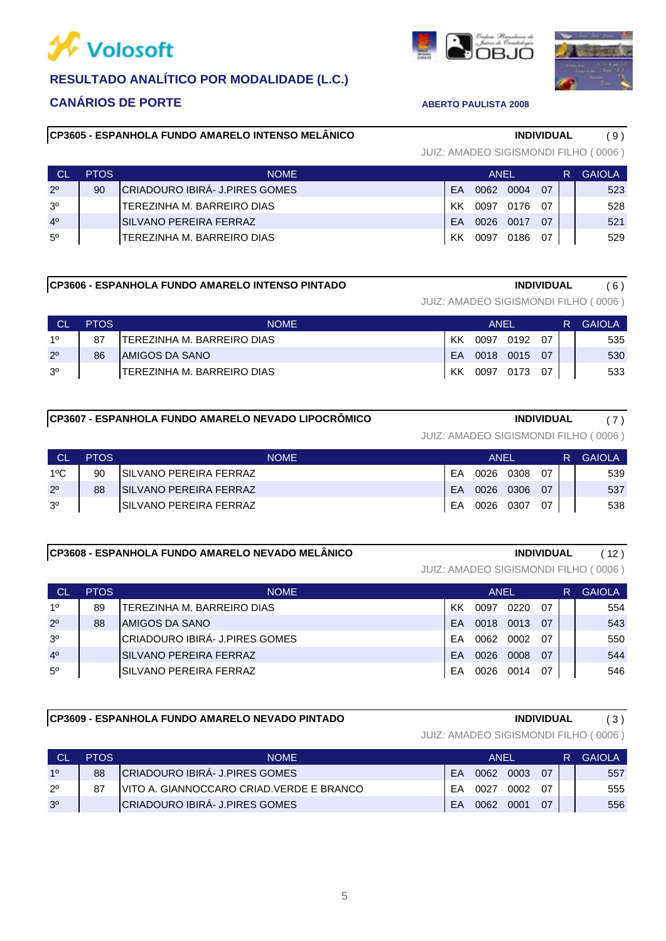



# **CP3605 - ESPANHOLA FUNDO AMARELO INTENSO MELÂNICO INDIVIDUAL** ( 9 )

# 4º SILVANO PEREIRA FERRAZ EA 0026 0017 07 | 521 3º | TEREZINHA M. BARREIRO DIAS | KK 0097 0176 07 | 528 2º 90 CRIADOURO IBIRÁ- J.PIRES GOMES [EA 0062 0004 07 | 523 5º | TEREZINHA M. BARREIRO DIAS | KK 0097 0186 07 | 529 CL PTOS NOME ANEL R GAIOLA

### **CP3606 - ESPANHOLA FUNDO AMARELO INTENSO PINTADO INDIVIDUAL** ( 6 )

JUIZ: AMADEO SIGISMONDI FILHO ( 0006 )

| СĽ             | PTOS. | <b>NOME</b>                |    | <b>ANFI</b> |           |      | R | <b>GAIOLA</b> |
|----------------|-------|----------------------------|----|-------------|-----------|------|---|---------------|
| 10             |       | TEREZINHA M. BARREIRO DIAS | КK | 0097        | 0192      | . በ7 |   | 535           |
| $2^{\circ}$    | 86    | IAMIGOS DA SANO            | FA |             | 0018 0015 | -07  |   | 530           |
| 3 <sup>o</sup> |       | TEREZINHA M. BARREIRO DIAS | KK | 0097        | 0173      | 07   |   | 533           |

## **CP3607 - ESPANHOLA FUNDO AMARELO NEVADO LIPOCRÔMICO INDIVIDUAL** ( 7 )

JUIZ: AMADEO SIGISMONDI FILHO ( 0006 )

JUIZ: AMADEO SIGISMONDI FILHO ( 0006 )

|                | PTOS. | NOME                           |           | ANFI |      |    | <b>GAIOLA</b> |
|----------------|-------|--------------------------------|-----------|------|------|----|---------------|
| $1^{\circ}$ C  | 90    | ISILVANO PEREIRA FERRAZ        | FA        | 0026 | 0308 | 07 | 539           |
| $2^{\circ}$    | 88    | <b>ISILVANO PEREIRA FERRAZ</b> | <b>FA</b> | 0026 | 0306 | 07 | 537           |
| 3 <sup>o</sup> |       | <b>ISILVANO PEREIRA FERRAZ</b> | FA        | 0026 | 0307 | 07 | 538           |

### **CP3608 - ESPANHOLA FUNDO AMARELO NEVADO MELÂNICO INDIVIDUAL** ( 12 )

# 3º CRIADOURO IBIRÁ- J.PIRES GOMES EA 0062 0002 07 550 2º 88 AMIGOS DA SANO EA 0018 0013 07 543 1º | 89 | TEREZINHA M. BARREIRO DIAS | KK 0097 0220 07 | | 554 4º SILVANO PEREIRA FERRAZ EA 0026 0008 07 | 544 5º SILVANO PEREIRA FERRAZ EA 0026 0014 07 | 546 CL PTOS NOME ANEL R GAIOLA

# **CP3609 - ESPANHOLA FUNDO AMARELO NEVADO PINTADO INDIVIDUAL** ( 3 )

JUIZ: AMADEO SIGISMONDI FILHO ( 0006 )

|                | PTOS. | <b>NOME</b>                                |    | ANFI |      |           | GAIOLA |
|----------------|-------|--------------------------------------------|----|------|------|-----------|--------|
| 10             | 88    | <b>ICRIADOURO IBIRA- J.PIRES GOMES</b>     | FA | 0062 | 0003 | <u>07</u> | 557    |
| $2^{\circ}$    | 87    | IVITO A. GIANNOCCARO CRIAD. VERDE E BRANCO | FA | 0027 | 0002 | ሰ7        | 555    |
| 3 <sup>o</sup> |       | CRIADOURO IBIRÁ- J.PIRES GOMES             | FA | 0062 | 0001 | 07        | 556    |

las.

|  | VV 00AL 0.1AS 01 |  |  |
|--|------------------|--|--|
|  | EA 0018 0015 07  |  |  |
|  | KK 0097 0173 07  |  |  |
|  |                  |  |  |
|  |                  |  |  |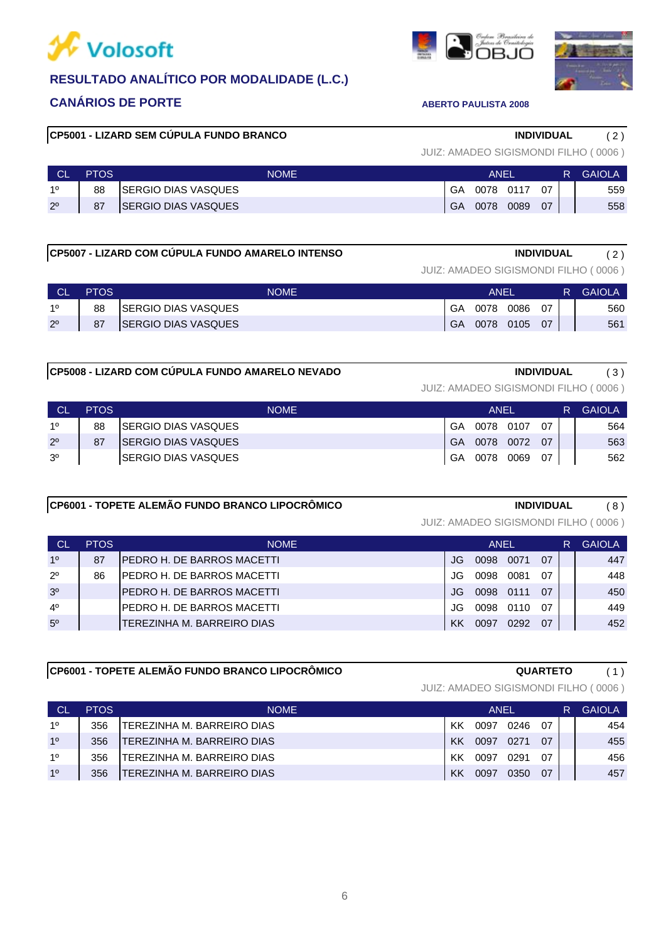



# **RESULTADO ANALÍTICO POR MODALIDADE (L.C.)**

# **CANÁRIOS DE PORTE ABERTO PAULISTA 2008**

# **CP5001 - LIZARD SEM CÚPULA FUNDO BRANCO INDIVIDUAL** ( 2 )

JUIZ: AMADEO SIGISMONDI FILHO ( 0006 )

|             | <b>PTOS</b> | <b>NOME</b>                 |    | <b>ANEL</b> |      |    | R | <b>GAIOLA</b> |
|-------------|-------------|-----------------------------|----|-------------|------|----|---|---------------|
| 10          | 88          | <b>ISERGIO DIAS VASQUES</b> | GA | 0078        | 0117 | 07 |   | 559           |
| $2^{\circ}$ | 87          | <b>SERGIO DIAS VASQUES</b>  | GA | 0078        | 0089 | 07 |   | 558           |

# **CP5007 - LIZARD COM CÚPULA FUNDO AMARELO INTENSO INDIVIDUAL** ( 2 )

JUIZ: AMADEO SIGISMONDI FILHO ( 0006 )

|             | <b>PTOS</b> | <b>NOME</b>                 | ANEI |      |      |    | R. | <b>GAIOLA</b> |
|-------------|-------------|-----------------------------|------|------|------|----|----|---------------|
| 10          | 88          | <b>ISERGIO DIAS VASQUES</b> | GA   | 0078 | 0086 | 07 |    | 560           |
| $2^{\circ}$ | 87          | <b>SERGIO DIAS VASQUES</b>  | GA   | 0078 | 0105 | 07 |    | 561           |

## **CP5008 - LIZARD COM CÚPULA FUNDO AMARELO NEVADO INDIVIDUAL** ( 3 )

JUIZ: AMADEO SIGISMONDI FILHO ( 0006 )

| ∟ CL           | <b>PTOS</b> | <b>NOME</b>                 | ANFI |           |           | R  | <b>GAIOLA</b> |     |
|----------------|-------------|-----------------------------|------|-----------|-----------|----|---------------|-----|
| 10             | 88          | <b>ISERGIO DIAS VASQUES</b> | GA   | 0078 0107 |           | 07 |               | 564 |
| $2^{\circ}$    | 87          | <b>ISERGIO DIAS VASQUES</b> | GA   |           | 0078 0072 | 07 |               | 563 |
| 3 <sup>o</sup> |             | ISERGIO DIAS VASQUES        | GA   | 0078      | 0069      | 07 |               | 562 |

# **CP6001 - TOPETE ALEMÃO FUNDO BRANCO LIPOCRÔMICO INDIVIDUAL** ( 8 )

JUIZ: AMADEO SIGISMONDI FILHO ( 0006 )

| <b>CL</b>      | <b>PTOS</b> | <b>NOME</b>                        | ANEL |      |      |    | R | <b>GAIOLA</b> |
|----------------|-------------|------------------------------------|------|------|------|----|---|---------------|
| 10             | 87          | <b>IPEDRO H. DE BARROS MACETTI</b> | JG.  | 0098 | 0071 | 07 |   | 447           |
| $2^{\circ}$    | 86          | IPEDRO H. DE BARROS MACETTI        | JG.  | 0098 | 0081 | 07 |   | 448           |
| 3 <sup>o</sup> |             | <b>IPEDRO H. DE BARROS MACETTI</b> | .IG  | 0098 | 0111 | 07 |   | 450           |
| 4 <sup>0</sup> |             | IPEDRO H. DE BARROS MACETTI        | JG.  | 0098 | 0110 | በ7 |   | 449           |
| 5 <sup>0</sup> |             | TEREZINHA M. BARREIRO DIAS         | KK   | 0097 | 0292 | 07 |   | 452           |

# **CP6001 - TOPETE ALEMÃO FUNDO BRANCO LIPOCRÔMICO QUARTETO** ( 1 )

| <b>Cl</b>      | <b>PTOS</b> | <b>NOME</b>                 |    | ANEL |      |    | R | GAIOLA |
|----------------|-------------|-----------------------------|----|------|------|----|---|--------|
| 10             | 356         | ITEREZINHA M. BARREIRO DIAS | КK | 0097 | 0246 | 07 |   | 454    |
| 1 <sup>0</sup> | 356         | TEREZINHA M. BARREIRO DIAS  | KK | 0097 | 0271 | 07 |   | 455    |
| 10             | 356         | TEREZINHA M. BARREIRO DIAS  | ΚK | 0097 | 0291 | 07 |   | 456    |
| 10             | 356         | TEREZINHA M. BARREIRO DIAS  | KK | 0097 | 0350 | 07 |   | 457    |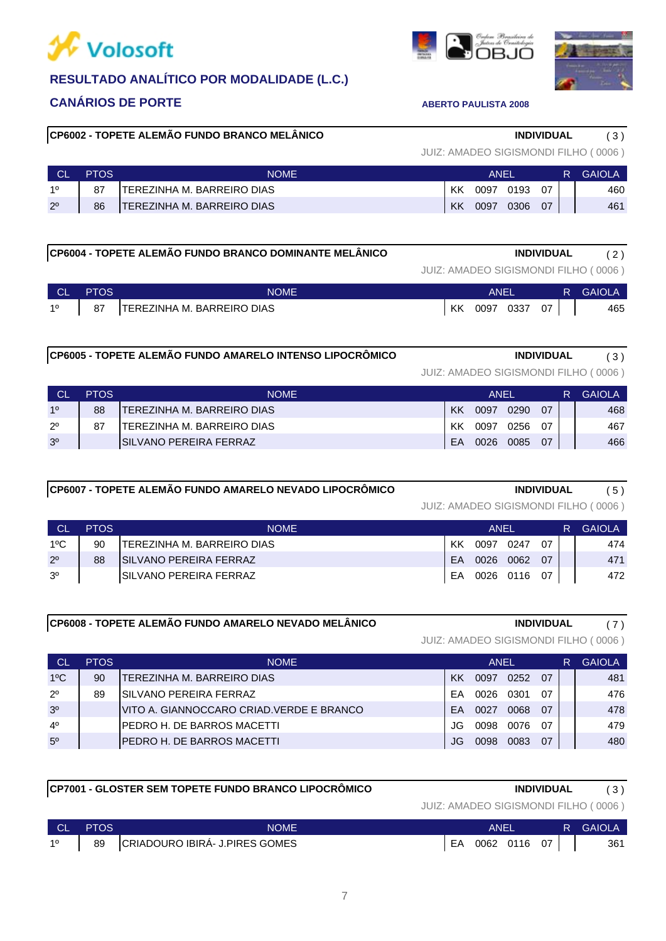



# **CP6002 - TOPETE ALEMÃO FUNDO BRANCO MELÂNICO INDIVIDUAL** ( 3 )

JUIZ: AMADEO SIGISMONDI FILHO ( 0006 )

| <b>GAIOLA</b> |
|---------------|
| 460           |
| 461           |
|               |

# **CP6004 - TOPETE ALEMÃO FUNDO BRANCO DOMINANTE MELÂNICO INDIVIDUAL** ( 2 )

JUIZ: AMADEO SIGISMONDI FILHO ( 0006 )

| <b>CL</b>   | <b>PTOS</b> | <b>NOME</b>                       |    | <b>ANE</b> |      |    | R. | GAIOL/ |
|-------------|-------------|-----------------------------------|----|------------|------|----|----|--------|
| $1^{\circ}$ | 87          | <b>TEREZINHA M. BARREIRO DIAS</b> | KK | 0097       | 0337 | 07 |    | 465    |

# **CP6005 - TOPETE ALEMÃO FUNDO AMARELO INTENSO LIPOCRÔMICO INDIVIDUAL** ( 3 )

2º 87 TEREZINHA M. BARREIRO DIAS KK 0097 0256 07 467 1º 88 TEREZINHA M. BARREIRO DIAS (KK 0097 0290 07 | 468 3º SILVANO PEREIRA FERRAZ EA 0026 0085 07 466 CL PTOS NOME ANEL R GAIOLA

# **CP6007 - TOPETE ALEMÃO FUNDO AMARELO NEVADO LIPOCRÔMICO INDIVIDUAL** ( 5 )

JUIZ: AMADEO SIGISMONDI FILHO ( 0006 )

|                | <b>PTOS</b> | <b>NOME</b>                    | ANFI |      |              | R   | GAIOLA |     |
|----------------|-------------|--------------------------------|------|------|--------------|-----|--------|-----|
| $1^{\circ}$ C  | 90          | ITEREZINHA M. BARREIRO DIAS    | ΚK   | 0097 | 0247         | 07  |        | 474 |
| $2^{\circ}$    | 88          | <b>ISILVANO PEREIRA FERRAZ</b> | FA.  | 0026 | 0062         | -07 |        | 471 |
| 3 <sup>0</sup> |             | ISILVANO PEREIRA FERRAZ        | EA   |      | 0026 0116 07 |     |        | 472 |

### **CP6008 - TOPETE ALEMÃO FUNDO AMARELO NEVADO MELÂNICO INDIVIDUAL** ( 7 )

| <b>CL</b>      | <b>PTOS</b> | <b>NOME</b>                               |     | ANEL |      |     | <b>GAIOLA</b> |
|----------------|-------------|-------------------------------------------|-----|------|------|-----|---------------|
| $1^{\circ}$ C  | 90          | TEREZINHA M. BARREIRO DIAS                | KK  | 0097 | 0252 | 07  | 481           |
| $2^{\circ}$    | 89          | SILVANO PEREIRA FERRAZ                    | FA  | 0026 | 0301 | -07 | 476           |
| 3 <sup>o</sup> |             | VITO A. GIANNOCCARO CRIAD. VERDE E BRANCO | FΑ  | 0027 | 0068 | 07  | 478           |
| $4^{\circ}$    |             | PEDRO H. DE BARROS MACETTI                | JG. | 0098 | 0076 | 07  | 479           |
| 5 <sup>o</sup> |             | PEDRO H. DE BARROS MACETTI                | JG. | 0098 | 0083 | 07  | 480           |

|        |             | CP7001 - GLOSTER SEM TOPETE FUNDO BRANCO LIPOCRÔMICO | INDIVIDUAL                           | (3)                |
|--------|-------------|------------------------------------------------------|--------------------------------------|--------------------|
|        |             |                                                      | JUIZ: AMADEO SIGISMONDI FILHO (0006) |                    |
| $\sim$ | <b>DTOC</b> | <b>NIOME</b>                                         | $\triangle$ NIEI<br>D                | $\triangle$ AIOL A |

| <b>CL</b> | <b>PTOS</b> | <b>NOME</b>                    | ANEI |              |  |  | <b>R</b> GAIOLA |
|-----------|-------------|--------------------------------|------|--------------|--|--|-----------------|
| 10        | 89          | CRIADOURO IBIRA- J.PIRES GOMES | EA   | 0062 0116 07 |  |  | 361             |

| JUIZ: AMADEO SIGISMONDI FILHO (0006) |  |  |
|--------------------------------------|--|--|
|                                      |  |  |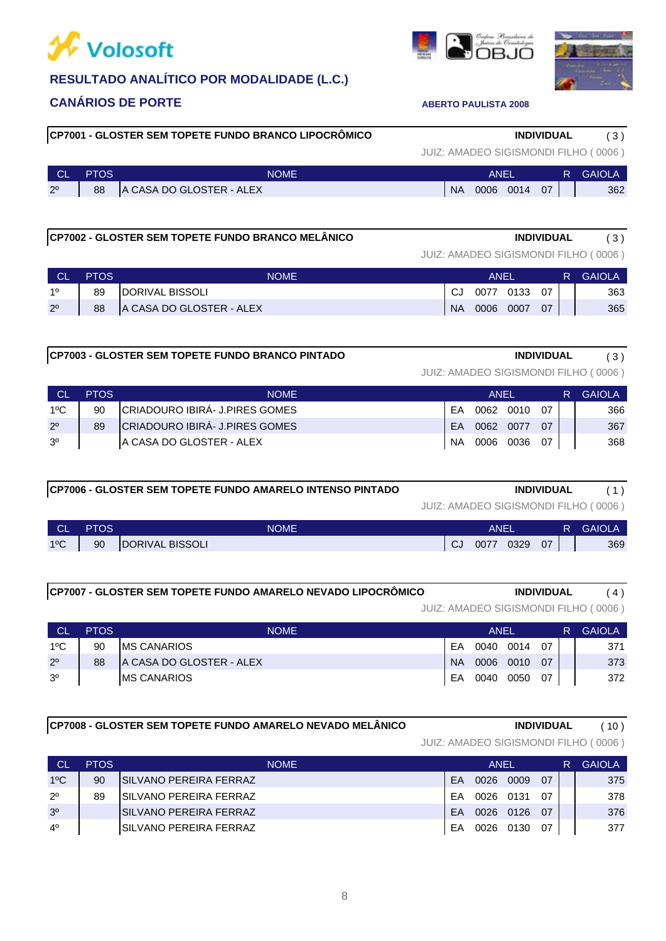# **W** Volosoft



# **CANÁRIOS DE PORTE ABERTO PAULISTA 2008**

# **CP7001 - GLOSTER SEM TOPETE FUNDO BRANCO LIPOCRÔMICO INDIVIDUAL** ( 3 )

|  | JUIZ: AMADEO SIGISMONDI FILHO (0006) |  |  |
|--|--------------------------------------|--|--|
|  |                                      |  |  |

| <b>CL</b>      | <b>PTOS</b> | <b>NOME</b>              |           | ANEI |           |    | R. | <b>GAIOLA</b> |
|----------------|-------------|--------------------------|-----------|------|-----------|----|----|---------------|
| 2 <sup>0</sup> | 88          | A CASA DO GLOSTER - ALEX | <b>NA</b> |      | 0006 0014 | 07 |    | 362           |

# **CP7002 - GLOSTER SEM TOPETE FUNDO BRANCO MELÂNICO INDIVIDUAL** ( 3 )

JUIZ: AMADEO SIGISMONDI FILHO ( 0006 )

| <b>CL</b>      | <b>PTOS</b> | NOME                     | ANFI      |      |      |    | <b>GAIOLA</b> |
|----------------|-------------|--------------------------|-----------|------|------|----|---------------|
| 10             | 89          | <b>IDORIVAL BISSOLI</b>  |           | 0077 | 0133 | 07 | 363           |
| 2 <sup>0</sup> | 88          | A CASA DO GLOSTER - ALEX | <b>NA</b> | 0006 | 0007 | 07 | 365           |

## **CP7003 - GLOSTER SEM TOPETE FUNDO BRANCO PINTADO INDIVIDUAL** ( 3 )

JUIZ: AMADEO SIGISMONDI FILHO ( 0006 )

|                | <b>PTOS</b> | NOME.                           | ANFI |      |      |           | GAIOLA |
|----------------|-------------|---------------------------------|------|------|------|-----------|--------|
| $1^{\circ}$ C  | 90          | ICRIADOURO IBIRA- J.PIRES GOMES | FA   | 0062 | 0010 | . ሰ7      | 366    |
| $2^{\circ}$    | 89          | CRIADOURO IBIRÁ- J.PIRES GOMES  | FA   | 0062 | 0077 | <u>07</u> | 367    |
| 3 <sup>0</sup> |             | IA CASA DO GLOSTER - ALEX       | NA   | 0006 | 0036 | ሰ7        | 368    |

# **CP7006 - GLOSTER SEM TOPETE FUNDO AMARELO INTENSO PINTADO INDIVIDUAL** ( 1 )

JUIZ: AMADEO SIGISMONDI FILHO ( 0006 )

| ∣ CL          | <b>PTOS</b> | <b>NOME</b>     |      | ANEI |      |    | R. | <b>GAIOLA</b> |
|---------------|-------------|-----------------|------|------|------|----|----|---------------|
| $1^{\circ}$ C | 90          | DORIVAL BISSOLI | - CJ | 0077 | 0329 | 07 |    | 369           |

### **CP7007 - GLOSTER SEM TOPETE FUNDO AMARELO NEVADO LIPOCRÔMICO INDIVIDUAL** ( 4 )

JUIZ: AMADEO SIGISMONDI FILHO ( 0006 )

JUIZ: AMADEO SIGISMONDI FILHO ( 0006 )

| <b>CL</b>      | <b>PTOS</b> | <b>NOME</b>              | ANEL      |      |      |    | R. | <b>GAIOLA</b> |
|----------------|-------------|--------------------------|-----------|------|------|----|----|---------------|
| $1^{\circ}$ C  | 90          | <b>IMS CANARIOS</b>      | EA        | 0040 | 0014 | 07 |    | 371           |
| $2^{\circ}$    | 88          | A CASA DO GLOSTER - ALEX | <b>NA</b> | 0006 | 0010 | 07 |    | 373           |
| 3 <sup>o</sup> |             | <b>IMS CANARIOS</b>      | EA        | 0040 | 0050 | 07 |    | 372           |

# **CP7008 - GLOSTER SEM TOPETE FUNDO AMARELO NEVADO MELÂNICO INDIVIDUAL** ( 10 )

4º SILVANO PEREIRA FERRAZ EA 0026 0130 07 377 3º SILVANO PEREIRA FERRAZ 2 20026 0126 0126 07 | 376 1ºC 90 SILVANO PEREIRA FERRAZ EA 0026 0009 07 375 2º | 89 |SILVANO PEREIRA FERRAZ | EA 0026 0131 07 | | 378 CL PTOS NOME ANEL R GAIOLA

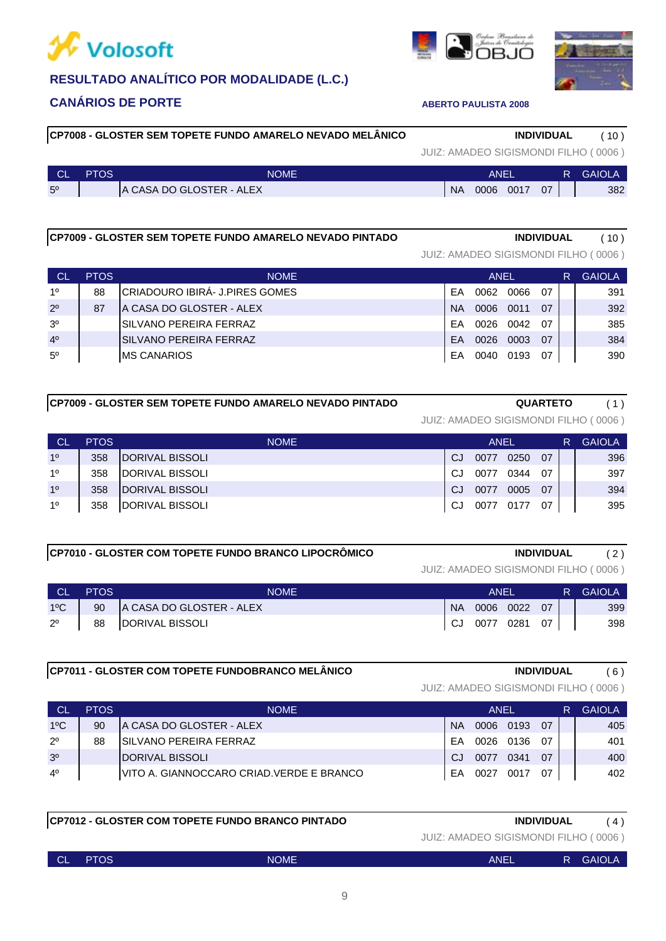



| <b>CL</b>      | <b>PTOS</b> | <b>NOME</b>              |           | ANEI |      |    | R. | <b>GAIOLA</b> |
|----------------|-------------|--------------------------|-----------|------|------|----|----|---------------|
| 5 <sup>o</sup> |             | A CASA DO GLOSTER - ALEX | <b>NA</b> | 0006 | 0017 | 07 |    | 382           |

### **CP7009 - GLOSTER SEM TOPETE FUNDO AMARELO NEVADO PINTADO INDIVIDUAL** ( 10 )

# 3º SILVANO PEREIRA FERRAZ 2000 | EA 0026 0042 07 | 385 2º 87 A CASA DO GLOSTER - ALEX NA 2006 0011 07 | 392 1º 88 CRIADOURO IBIRÁ- J.PIRES GOMES EA 0062 0066 07 391 4º SILVANO PEREIRA FERRAZ 2 | EA 0026 0003 07 | 384 JUIZ: AMADEO SIGISMONDI FILHO ( 0006 ) CL PTOS NOME ANEL R GAIOLA

5º MS CANARIOS EA 0040 0193 07 390

| CP7009 - GLOSTER SEM TOPETE FUNDO AMARELO NEVADO PINTADO | <b>QUARTETO</b> |
|----------------------------------------------------------|-----------------|
|----------------------------------------------------------|-----------------|

JUIZ: AMADEO SIGISMONDI FILHO ( 0006 )

| СL             | <b>PTOS</b> | <b>NOME</b>             |     | <b>ANEL</b> |      |    | R | <b>GAIOLA</b> |
|----------------|-------------|-------------------------|-----|-------------|------|----|---|---------------|
| 1 <sup>0</sup> | 358         | <b>IDORIVAL BISSOLI</b> | CJ  | 0077        | 0250 | 07 |   | 396           |
| 1 <sup>0</sup> | 358         | <b>IDORIVAL BISSOLI</b> | CJ. | 0077        | 0344 | 07 |   | 397           |
| 1 <sup>0</sup> | 358         | DORIVAL BISSOLI         | CJ  | 0077        | 0005 | 07 |   | 394           |
| 10             | 358         | DORIVAL BISSOLI         | CJ. | 0077        | 0177 | 07 |   | 395           |

### **CP7010 - GLOSTER COM TOPETE FUNDO BRANCO LIPOCRÔMICO INDIVIDUAL** ( 2 )

# JUIZ: AMADEO SIGISMONDI FILHO ( 0006 )

| <b>CL</b>     | <b>PTOS</b> | NOME                     |           | ANFI         |           |    | R. | <b>GAIOLA</b> |
|---------------|-------------|--------------------------|-----------|--------------|-----------|----|----|---------------|
| $1^{\circ}$ C | 90          | A CASA DO GLOSTER - ALEX | <b>NA</b> |              | 0006 0022 | 07 |    | 399           |
| $2^{\circ}$   | 88          | DORIVAL BISSOLI          | CJ        | 0077 0281 07 |           |    |    | 398           |

# **CP7011 - GLOSTER COM TOPETE FUNDOBRANCO MELÂNICO INDIVIDUAL** ( 6 )

| JUIZ: AMADEO SIGISMONDI FILHO (0006) |  |
|--------------------------------------|--|

| СL             | <b>PTOS</b> | <b>NOME</b>                                | <b>ANFL</b> |      |           |    | R | <b>GAIOLA</b> |
|----------------|-------------|--------------------------------------------|-------------|------|-----------|----|---|---------------|
| $1^{\circ}$ C  | 90          | A CASA DO GLOSTER - ALEX                   | <b>NA</b>   |      | 0006 0193 | 07 |   | 405           |
| $2^{\circ}$    | 88          | <b>ISILVANO PEREIRA FERRAZ</b>             | FΑ          |      | 0026 0136 | በ7 |   | 401           |
| 3 <sup>o</sup> |             | <b>IDORIVAL BISSOLI</b>                    | C.I         | 0077 | 0341      | 07 |   | 400           |
| $4^{\circ}$    |             | IVITO A. GIANNOCCARO CRIAD. VERDE E BRANCO | FΑ          | 0027 | 0017      | 07 |   | 402           |

### **CP7012 - GLOSTER COM TOPETE FUNDO BRANCO PINTADO INDIVIDUAL** ( 4 )

JUIZ: AMADEO SIGISMONDI FILHO ( 0006 )

| <b>CL</b> | PTOS | <b>NOME</b> | ANEL | ь | <b>GAIOLA</b> |
|-----------|------|-------------|------|---|---------------|
|           |      |             |      |   |               |

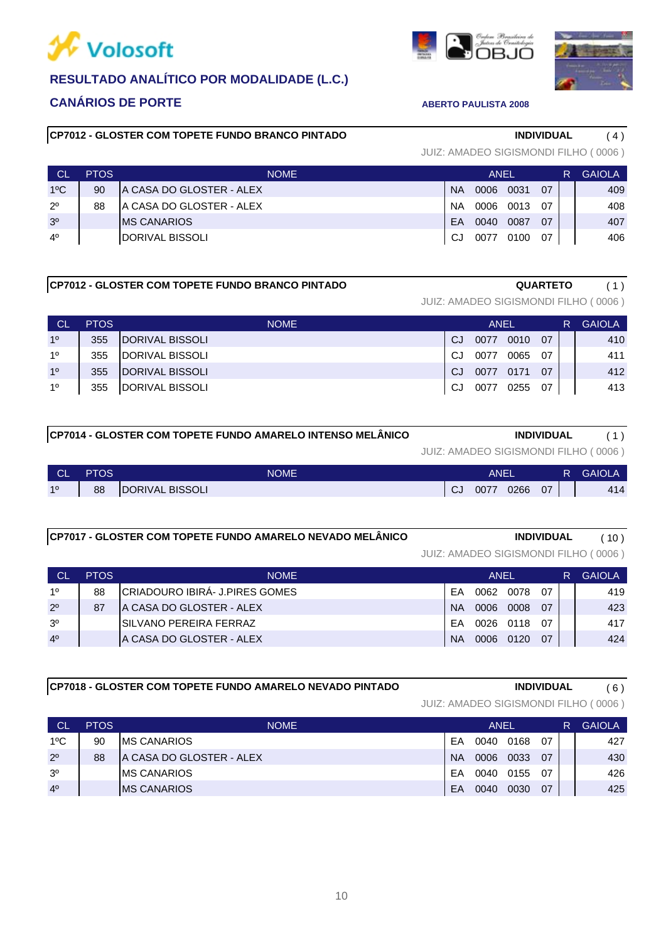



# **CP7012 - GLOSTER COM TOPETE FUNDO BRANCO PINTADO INDIVIDUAL** ( 4 )

# 3º MS CANARIOS **EA 0040 0087 07 407** 2º 88 A CASA DO GLOSTER - ALEX NA 2006 0013 07 | 408 1ºC 90 A CASA DO GLOSTER - ALEX  $\vert$  NA 0006 0031 07  $\vert$  409 4º | DORIVAL BISSOLI | CJ 0077 0100 07 | 406 CL PTOS NOME ANEL R GAIOLA

## **CP7012 - GLOSTER COM TOPETE FUNDO BRANCO PINTADO QUARTETO** ( 1 )

JUIZ: AMADEO SIGISMONDI FILHO ( 0006 )

| CL             | <b>PTOS</b> | NOME.                   | ANEL |      |      |    | R | <b>GAIOLA</b> |
|----------------|-------------|-------------------------|------|------|------|----|---|---------------|
| 1 <sup>0</sup> | 355         | DORIVAL BISSOLI         | CJ.  | 0077 | 0010 | 07 |   | 410           |
| 10             | 355         | <b>IDORIVAL BISSOLI</b> | CJ.  | 0077 | 0065 | 07 |   | 411           |
| 10             | 355         | DORIVAL BISSOLI         | .CJ  | 0077 | 0171 | 07 |   | 412           |
| 1 <sup>0</sup> | 355         | DORIVAL BISSOLI         | CJ.  | 0077 | 0255 | 07 |   | 413           |
|                |             |                         |      |      |      |    |   |               |

| CP7014 - GLOSTER COM TOPETE FUNDO AMARELO INTENSO MELÂNICO | <b>INDIVIDUAL</b> |  |
|------------------------------------------------------------|-------------------|--|

JUIZ: AMADEO SIGISMONDI FILHO ( 0006 )

| 10 | <b>CL</b> | PTOS | <b>NOME</b>                      | ANEI |      |      |    | R | <b>GAIOLA</b> |
|----|-----------|------|----------------------------------|------|------|------|----|---|---------------|
|    |           | 88   | <b>BISSOLI</b><br><b>DORIVAL</b> | - Cu | 007. | 0266 | 07 |   | 414           |

| CP7017 - GLOSTER COM TOPETE FUNDO AMARELO NEVADO MELÂNICO | <b>INDIVIDUAL</b> | 10 <sup>1</sup> |
|-----------------------------------------------------------|-------------------|-----------------|

|                |             |                                |           |      |           |    |   | JUIZ: AMADEO SIGISMONDI FILHO (0006) |
|----------------|-------------|--------------------------------|-----------|------|-----------|----|---|--------------------------------------|
| <b>CL</b>      | <b>PTOS</b> | <b>NOME</b>                    | ANEL      |      |           |    | R | <b>GAIOLA</b>                        |
| 10             | 88          | CRIADOURO IBIRÁ- J.PIRES GOMES | FA        | 0062 | 0078      | 07 |   | 419                                  |
| $2^{\circ}$    | 87          | IA CASA DO GLOSTER - ALEX      | <b>NA</b> | 0006 | 0008      | 07 |   | 423                                  |
| 3 <sup>o</sup> |             | ISILVANO PEREIRA FERRAZ        | FΑ        |      | 0026 0118 | 07 |   | 417                                  |
| 4 <sup>0</sup> |             | IA CASA DO GLOSTER - ALEX      | <b>NA</b> | 0006 | 0120      | 07 |   | 424                                  |

**CP7018 - GLOSTER COM TOPETE FUNDO AMARELO NEVADO PINTADO INDIVIDUAL** ( 6 )

JUIZ: AMADEO SIGISMONDI FILHO ( 0006 )

| <b>CL</b>      | <b>PTOS</b> | <b>NOME</b>               | ANEL      |      |      |    | <b>GAIOLA</b> |
|----------------|-------------|---------------------------|-----------|------|------|----|---------------|
| $1^{\circ}$ C  | 90          | <b>IMS CANARIOS</b>       | EA        | 0040 | 0168 | 07 | 427           |
| $2^{\circ}$    | 88          | IA CASA DO GLOSTER - ALEX | <b>NA</b> | 0006 | 0033 | 07 | 430           |
| 3 <sup>o</sup> |             | <b>IMS CANARIOS</b>       | EA        | 0040 | 0155 | 07 | 426           |
| 4 <sup>0</sup> |             | <b>IMS CANARIOS</b>       | EA        | 0040 | 0030 | 07 | 425           |